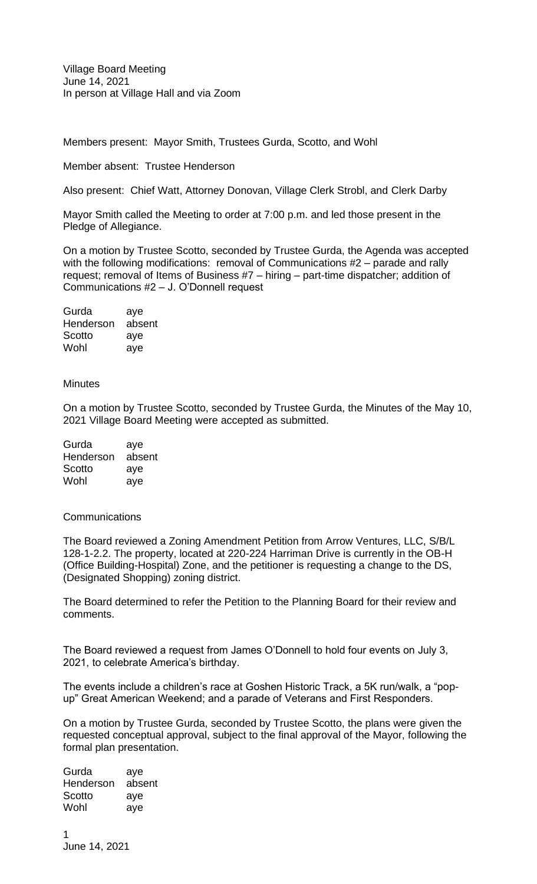Members present: Mayor Smith, Trustees Gurda, Scotto, and Wohl

Member absent: Trustee Henderson

Also present: Chief Watt, Attorney Donovan, Village Clerk Strobl, and Clerk Darby

Mayor Smith called the Meeting to order at 7:00 p.m. and led those present in the Pledge of Allegiance.

On a motion by Trustee Scotto, seconded by Trustee Gurda, the Agenda was accepted with the following modifications: removal of Communications #2 – parade and rally request; removal of Items of Business #7 – hiring – part-time dispatcher; addition of Communications #2 – J. O'Donnell request

| Gurda     | aye    |
|-----------|--------|
| Henderson | absent |
| Scotto    | aye    |
| Wohl      | aye    |

## **Minutes**

On a motion by Trustee Scotto, seconded by Trustee Gurda, the Minutes of the May 10, 2021 Village Board Meeting were accepted as submitted.

| Gurda     | aye    |
|-----------|--------|
| Henderson | absent |
| Scotto    | aye    |
| Wohl      | aye    |

## **Communications**

The Board reviewed a Zoning Amendment Petition from Arrow Ventures, LLC, S/B/L 128-1-2.2. The property, located at 220-224 Harriman Drive is currently in the OB-H (Office Building-Hospital) Zone, and the petitioner is requesting a change to the DS, (Designated Shopping) zoning district.

The Board determined to refer the Petition to the Planning Board for their review and comments.

The Board reviewed a request from James O'Donnell to hold four events on July 3, 2021, to celebrate America's birthday.

The events include a children's race at Goshen Historic Track, a 5K run/walk, a "popup" Great American Weekend; and a parade of Veterans and First Responders.

On a motion by Trustee Gurda, seconded by Trustee Scotto, the plans were given the requested conceptual approval, subject to the final approval of the Mayor, following the formal plan presentation.

Gurda aye Henderson absent Scotto aye Wohl aye

1 June 14, 2021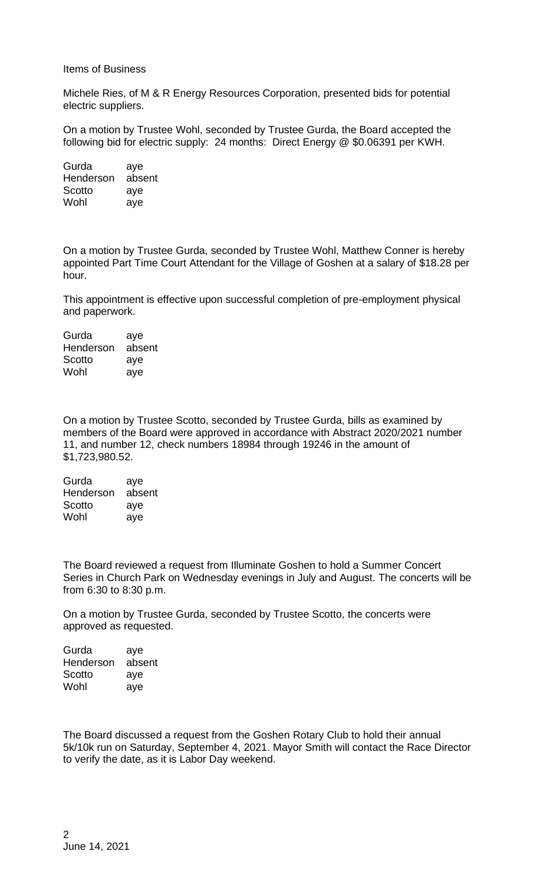## Items of Business

Michele Ries, of M & R Energy Resources Corporation, presented bids for potential electric suppliers.

On a motion by Trustee Wohl, seconded by Trustee Gurda, the Board accepted the following bid for electric supply: 24 months: Direct Energy @ \$0.06391 per KWH.

Gurda aye Henderson absent Scotto aye Wohl aye

On a motion by Trustee Gurda, seconded by Trustee Wohl, Matthew Conner is hereby appointed Part Time Court Attendant for the Village of Goshen at a salary of \$18.28 per hour.

This appointment is effective upon successful completion of pre-employment physical and paperwork.

Gurda aye Henderson absent Scotto aye Wohl aye

On a motion by Trustee Scotto, seconded by Trustee Gurda, bills as examined by members of the Board were approved in accordance with Abstract 2020/2021 number 11, and number 12, check numbers 18984 through 19246 in the amount of \$1,723,980.52.

Gurda aye Henderson absent Scotto aye Wohl aye

The Board reviewed a request from Illuminate Goshen to hold a Summer Concert Series in Church Park on Wednesday evenings in July and August. The concerts will be from 6:30 to 8:30 p.m.

On a motion by Trustee Gurda, seconded by Trustee Scotto, the concerts were approved as requested.

Gurda aye Henderson absent Scotto aye Wohl aye

The Board discussed a request from the Goshen Rotary Club to hold their annual 5k/10k run on Saturday, September 4, 2021. Mayor Smith will contact the Race Director to verify the date, as it is Labor Day weekend.